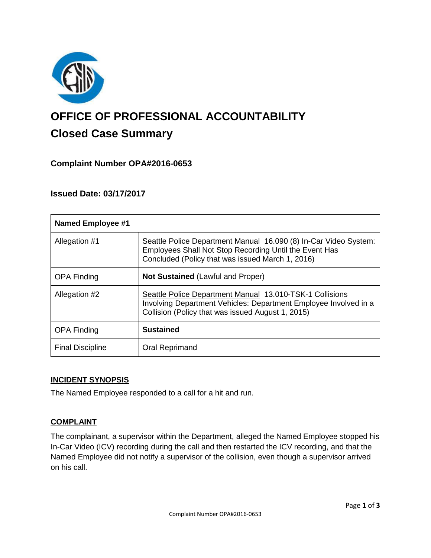

# **OFFICE OF PROFESSIONAL ACCOUNTABILITY Closed Case Summary**

## **Complaint Number OPA#2016-0653**

## **Issued Date: 03/17/2017**

| <b>Named Employee #1</b> |                                                                                                                                                                                   |
|--------------------------|-----------------------------------------------------------------------------------------------------------------------------------------------------------------------------------|
| Allegation #1            | Seattle Police Department Manual 16.090 (8) In-Car Video System:<br>Employees Shall Not Stop Recording Until the Event Has<br>Concluded (Policy that was issued March 1, 2016)    |
| <b>OPA Finding</b>       | <b>Not Sustained (Lawful and Proper)</b>                                                                                                                                          |
| Allegation #2            | Seattle Police Department Manual 13.010-TSK-1 Collisions<br>Involving Department Vehicles: Department Employee Involved in a<br>Collision (Policy that was issued August 1, 2015) |
| <b>OPA Finding</b>       | <b>Sustained</b>                                                                                                                                                                  |
| <b>Final Discipline</b>  | Oral Reprimand                                                                                                                                                                    |

#### **INCIDENT SYNOPSIS**

The Named Employee responded to a call for a hit and run.

## **COMPLAINT**

The complainant, a supervisor within the Department, alleged the Named Employee stopped his In-Car Video (ICV) recording during the call and then restarted the ICV recording, and that the Named Employee did not notify a supervisor of the collision, even though a supervisor arrived on his call.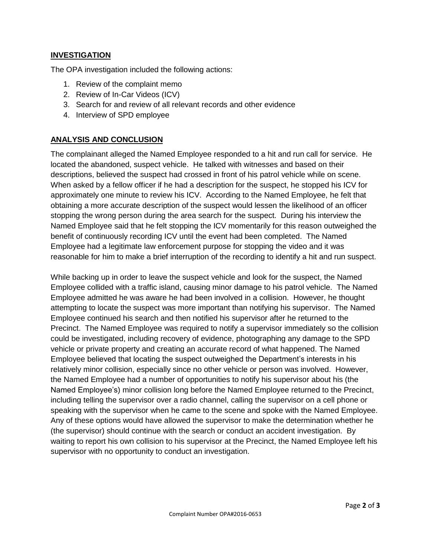#### **INVESTIGATION**

The OPA investigation included the following actions:

- 1. Review of the complaint memo
- 2. Review of In-Car Videos (ICV)
- 3. Search for and review of all relevant records and other evidence
- 4. Interview of SPD employee

#### **ANALYSIS AND CONCLUSION**

The complainant alleged the Named Employee responded to a hit and run call for service. He located the abandoned, suspect vehicle. He talked with witnesses and based on their descriptions, believed the suspect had crossed in front of his patrol vehicle while on scene. When asked by a fellow officer if he had a description for the suspect, he stopped his ICV for approximately one minute to review his ICV. According to the Named Employee, he felt that obtaining a more accurate description of the suspect would lessen the likelihood of an officer stopping the wrong person during the area search for the suspect. During his interview the Named Employee said that he felt stopping the ICV momentarily for this reason outweighed the benefit of continuously recording ICV until the event had been completed. The Named Employee had a legitimate law enforcement purpose for stopping the video and it was reasonable for him to make a brief interruption of the recording to identify a hit and run suspect.

While backing up in order to leave the suspect vehicle and look for the suspect, the Named Employee collided with a traffic island, causing minor damage to his patrol vehicle. The Named Employee admitted he was aware he had been involved in a collision. However, he thought attempting to locate the suspect was more important than notifying his supervisor. The Named Employee continued his search and then notified his supervisor after he returned to the Precinct. The Named Employee was required to notify a supervisor immediately so the collision could be investigated, including recovery of evidence, photographing any damage to the SPD vehicle or private property and creating an accurate record of what happened. The Named Employee believed that locating the suspect outweighed the Department's interests in his relatively minor collision, especially since no other vehicle or person was involved. However, the Named Employee had a number of opportunities to notify his supervisor about his (the Named Employee's) minor collision long before the Named Employee returned to the Precinct, including telling the supervisor over a radio channel, calling the supervisor on a cell phone or speaking with the supervisor when he came to the scene and spoke with the Named Employee. Any of these options would have allowed the supervisor to make the determination whether he (the supervisor) should continue with the search or conduct an accident investigation. By waiting to report his own collision to his supervisor at the Precinct, the Named Employee left his supervisor with no opportunity to conduct an investigation.